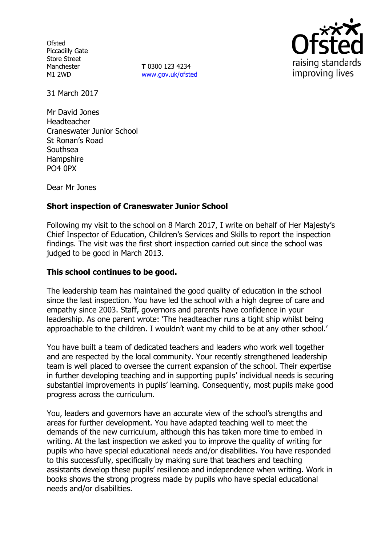**Ofsted** Piccadilly Gate Store Street Manchester M1 2WD

**T** 0300 123 4234 www.gov.uk/ofsted



31 March 2017

Mr David Jones Headteacher Craneswater Junior School St Ronan's Road Southsea **Hampshire** PO4 0PX

Dear Mr Jones

## **Short inspection of Craneswater Junior School**

Following my visit to the school on 8 March 2017, I write on behalf of Her Majesty's Chief Inspector of Education, Children's Services and Skills to report the inspection findings. The visit was the first short inspection carried out since the school was judged to be good in March 2013.

### **This school continues to be good.**

The leadership team has maintained the good quality of education in the school since the last inspection. You have led the school with a high degree of care and empathy since 2003. Staff, governors and parents have confidence in your leadership. As one parent wrote: 'The headteacher runs a tight ship whilst being approachable to the children. I wouldn't want my child to be at any other school.'

You have built a team of dedicated teachers and leaders who work well together and are respected by the local community. Your recently strengthened leadership team is well placed to oversee the current expansion of the school. Their expertise in further developing teaching and in supporting pupils' individual needs is securing substantial improvements in pupils' learning. Consequently, most pupils make good progress across the curriculum.

You, leaders and governors have an accurate view of the school's strengths and areas for further development. You have adapted teaching well to meet the demands of the new curriculum, although this has taken more time to embed in writing. At the last inspection we asked you to improve the quality of writing for pupils who have special educational needs and/or disabilities. You have responded to this successfully, specifically by making sure that teachers and teaching assistants develop these pupils' resilience and independence when writing. Work in books shows the strong progress made by pupils who have special educational needs and/or disabilities.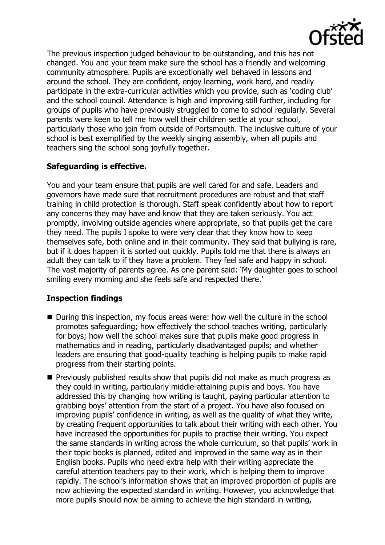

The previous inspection judged behaviour to be outstanding, and this has not changed. You and your team make sure the school has a friendly and welcoming community atmosphere. Pupils are exceptionally well behaved in lessons and around the school. They are confident, enjoy learning, work hard, and readily participate in the extra-curricular activities which you provide, such as 'coding club' and the school council. Attendance is high and improving still further, including for groups of pupils who have previously struggled to come to school regularly. Several parents were keen to tell me how well their children settle at your school, particularly those who join from outside of Portsmouth. The inclusive culture of your school is best exemplified by the weekly singing assembly, when all pupils and teachers sing the school song joyfully together.

# **Safeguarding is effective.**

You and your team ensure that pupils are well cared for and safe. Leaders and governors have made sure that recruitment procedures are robust and that staff training in child protection is thorough. Staff speak confidently about how to report any concerns they may have and know that they are taken seriously. You act promptly, involving outside agencies where appropriate, so that pupils get the care they need. The pupils I spoke to were very clear that they know how to keep themselves safe, both online and in their community. They said that bullying is rare, but if it does happen it is sorted out quickly. Pupils told me that there is always an adult they can talk to if they have a problem. They feel safe and happy in school. The vast majority of parents agree. As one parent said: 'My daughter goes to school smiling every morning and she feels safe and respected there.'

# **Inspection findings**

- During this inspection, my focus areas were: how well the culture in the school promotes safeguarding; how effectively the school teaches writing, particularly for boys; how well the school makes sure that pupils make good progress in mathematics and in reading, particularly disadvantaged pupils; and whether leaders are ensuring that good-quality teaching is helping pupils to make rapid progress from their starting points.
- **Previously published results show that pupils did not make as much progress as** they could in writing, particularly middle-attaining pupils and boys. You have addressed this by changing how writing is taught, paying particular attention to grabbing boys' attention from the start of a project. You have also focused on improving pupils' confidence in writing, as well as the quality of what they write, by creating frequent opportunities to talk about their writing with each other. You have increased the opportunities for pupils to practise their writing. You expect the same standards in writing across the whole curriculum, so that pupils' work in their topic books is planned, edited and improved in the same way as in their English books. Pupils who need extra help with their writing appreciate the careful attention teachers pay to their work, which is helping them to improve rapidly. The school's information shows that an improved proportion of pupils are now achieving the expected standard in writing. However, you acknowledge that more pupils should now be aiming to achieve the high standard in writing,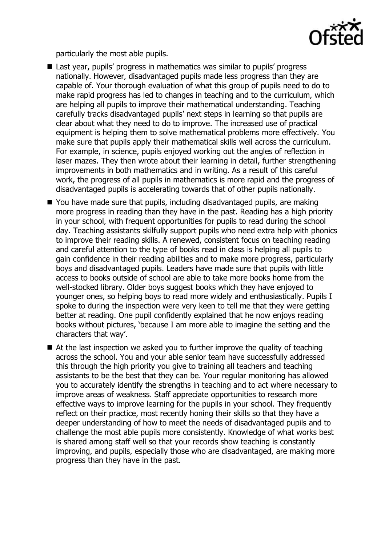

particularly the most able pupils.

- Last year, pupils' progress in mathematics was similar to pupils' progress nationally. However, disadvantaged pupils made less progress than they are capable of. Your thorough evaluation of what this group of pupils need to do to make rapid progress has led to changes in teaching and to the curriculum, which are helping all pupils to improve their mathematical understanding. Teaching carefully tracks disadvantaged pupils' next steps in learning so that pupils are clear about what they need to do to improve. The increased use of practical equipment is helping them to solve mathematical problems more effectively. You make sure that pupils apply their mathematical skills well across the curriculum. For example, in science, pupils enjoyed working out the angles of reflection in laser mazes. They then wrote about their learning in detail, further strengthening improvements in both mathematics and in writing. As a result of this careful work, the progress of all pupils in mathematics is more rapid and the progress of disadvantaged pupils is accelerating towards that of other pupils nationally.
- You have made sure that pupils, including disadvantaged pupils, are making more progress in reading than they have in the past. Reading has a high priority in your school, with frequent opportunities for pupils to read during the school day. Teaching assistants skilfully support pupils who need extra help with phonics to improve their reading skills. A renewed, consistent focus on teaching reading and careful attention to the type of books read in class is helping all pupils to gain confidence in their reading abilities and to make more progress, particularly boys and disadvantaged pupils. Leaders have made sure that pupils with little access to books outside of school are able to take more books home from the well-stocked library. Older boys suggest books which they have enjoyed to younger ones, so helping boys to read more widely and enthusiastically. Pupils I spoke to during the inspection were very keen to tell me that they were getting better at reading. One pupil confidently explained that he now enjoys reading books without pictures, 'because I am more able to imagine the setting and the characters that way'.
- At the last inspection we asked you to further improve the quality of teaching across the school. You and your able senior team have successfully addressed this through the high priority you give to training all teachers and teaching assistants to be the best that they can be. Your regular monitoring has allowed you to accurately identify the strengths in teaching and to act where necessary to improve areas of weakness. Staff appreciate opportunities to research more effective ways to improve learning for the pupils in your school. They frequently reflect on their practice, most recently honing their skills so that they have a deeper understanding of how to meet the needs of disadvantaged pupils and to challenge the most able pupils more consistently. Knowledge of what works best is shared among staff well so that your records show teaching is constantly improving, and pupils, especially those who are disadvantaged, are making more progress than they have in the past.